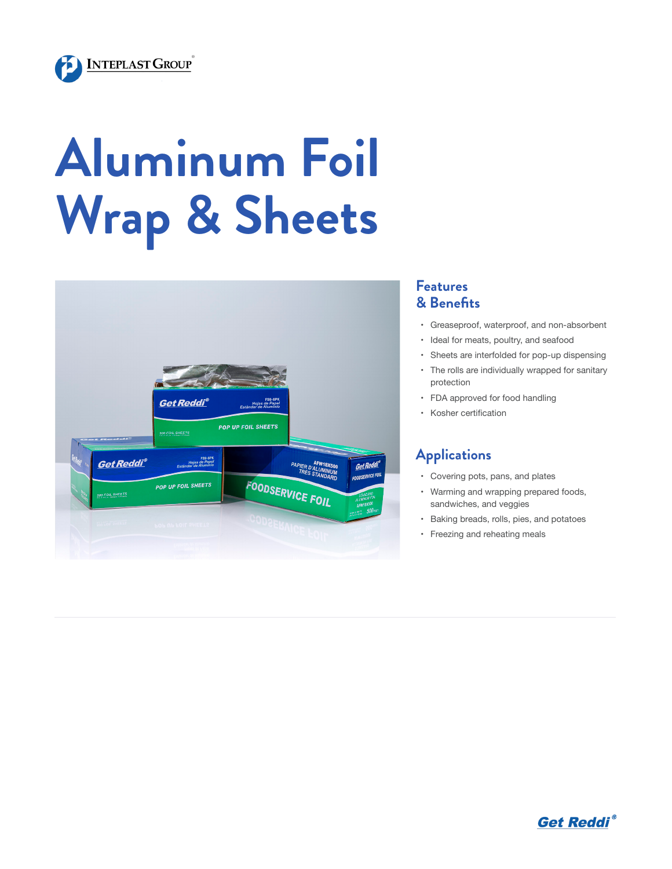

# **Aluminum Foil Wrap & Sheets**



#### **Features & Benefits**

- • Greaseproof, waterproof, and non-absorbent
- • Ideal for meats, poultry, and seafood
- • Sheets are interfolded for pop-up dispensing
- • The rolls are individually wrapped for sanitary protection
- • FDA approved for food handling
- • Kosher certification

### **Applications**

- • Covering pots, pans, and plates
- • Warming and wrapping prepared foods, sandwiches, and veggies
- • Baking breads, rolls, pies, and potatoes
- • Freezing and reheating meals